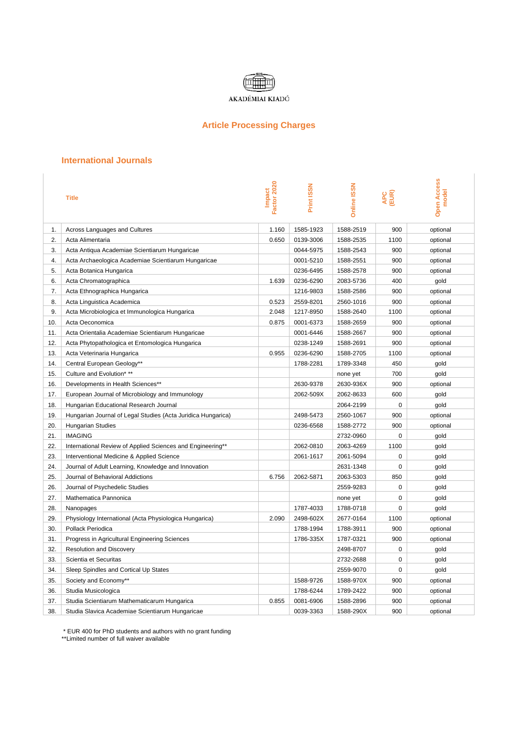

## **Article Processing Charges**

## **International Journals**

|     | <b>Title</b>                                                 | Factor 2020<br><b>Impact</b> | <b>Print ISSN</b> | <b>Online ISSN</b> | APC<br>(EUR) | <b>Open Access</b><br>model |
|-----|--------------------------------------------------------------|------------------------------|-------------------|--------------------|--------------|-----------------------------|
| 1.  | Across Languages and Cultures                                | 1.160                        | 1585-1923         | 1588-2519          | 900          | optional                    |
| 2.  | Acta Alimentaria                                             | 0.650                        | 0139-3006         | 1588-2535          | 1100         | optional                    |
| 3.  | Acta Antiqua Academiae Scientiarum Hungaricae                |                              | 0044-5975         | 1588-2543          | 900          | optional                    |
| 4.  | Acta Archaeologica Academiae Scientiarum Hungaricae          |                              | 0001-5210         | 1588-2551          | 900          | optional                    |
| 5.  | Acta Botanica Hungarica                                      |                              | 0236-6495         | 1588-2578          | 900          | optional                    |
| 6.  | Acta Chromatographica                                        | 1.639                        | 0236-6290         | 2083-5736          | 400          | gold                        |
| 7.  | Acta Ethnographica Hungarica                                 |                              | 1216-9803         | 1588-2586          | 900          | optional                    |
| 8.  | Acta Linguistica Academica                                   | 0.523                        | 2559-8201         | 2560-1016          | 900          | optional                    |
| 9.  | Acta Microbiologica et Immunologica Hungarica                | 2.048                        | 1217-8950         | 1588-2640          | 1100         | optional                    |
| 10. | Acta Oeconomica                                              | 0.875                        | 0001-6373         | 1588-2659          | 900          | optional                    |
| 11. | Acta Orientalia Academiae Scientiarum Hungaricae             |                              | 0001-6446         | 1588-2667          | 900          | optional                    |
| 12. | Acta Phytopathologica et Entomologica Hungarica              |                              | 0238-1249         | 1588-2691          | 900          | optional                    |
| 13. | Acta Veterinaria Hungarica                                   | 0.955                        | 0236-6290         | 1588-2705          | 1100         | optional                    |
| 14. | Central European Geology**                                   |                              | 1788-2281         | 1789-3348          | 450          | gold                        |
| 15. | Culture and Evolution* **                                    |                              |                   | none yet           | 700          | gold                        |
| 16. | Developments in Health Sciences**                            |                              | 2630-9378         | 2630-936X          | 900          | optional                    |
| 17. | European Journal of Microbiology and Immunology              |                              | 2062-509X         | 2062-8633          | 600          | gold                        |
| 18. | Hungarian Educational Research Journal                       |                              |                   | 2064-2199          | $\mathbf 0$  | gold                        |
| 19. | Hungarian Journal of Legal Studies (Acta Juridica Hungarica) |                              | 2498-5473         | 2560-1067          | 900          | optional                    |
| 20. | <b>Hungarian Studies</b>                                     |                              | 0236-6568         | 1588-2772          | 900          | optional                    |
| 21. | <b>IMAGING</b>                                               |                              |                   | 2732-0960          | 0            | gold                        |
| 22. | International Review of Applied Sciences and Engineering**   |                              | 2062-0810         | 2063-4269          | 1100         | gold                        |
| 23. | Interventional Medicine & Applied Science                    |                              | 2061-1617         | 2061-5094          | $\mathbf 0$  | gold                        |
| 24. | Journal of Adult Learning, Knowledge and Innovation          |                              |                   | 2631-1348          | 0            | gold                        |
| 25. | Journal of Behavioral Addictions                             | 6.756                        | 2062-5871         | 2063-5303          | 850          | gold                        |
| 26. | Journal of Psychedelic Studies                               |                              |                   | 2559-9283          | $\Omega$     | gold                        |
| 27. | Mathematica Pannonica                                        |                              |                   | none yet           | $\mathbf 0$  | gold                        |
| 28. | Nanopages                                                    |                              | 1787-4033         | 1788-0718          | 0            | gold                        |
| 29. | Physiology International (Acta Physiologica Hungarica)       | 2.090                        | 2498-602X         | 2677-0164          | 1100         | optional                    |
| 30. | Pollack Periodica                                            |                              | 1788-1994         | 1788-3911          | 900          | optional                    |
| 31. | Progress in Agricultural Engineering Sciences                |                              | 1786-335X         | 1787-0321          | 900          | optional                    |
| 32. | <b>Resolution and Discovery</b>                              |                              |                   | 2498-8707          | $\mathbf 0$  | gold                        |
| 33. | Scientia et Securitas                                        |                              |                   | 2732-2688          | 0            | gold                        |
| 34. | Sleep Spindles and Cortical Up States                        |                              |                   | 2559-9070          | 0            | gold                        |
| 35. | Society and Economy**                                        |                              | 1588-9726         | 1588-970X          | 900          | optional                    |
| 36. | Studia Musicologica                                          |                              | 1788-6244         | 1789-2422          | 900          | optional                    |
| 37. | Studia Scientiarum Mathematicarum Hungarica                  | 0.855                        | 0081-6906         | 1588-2896          | 900          | optional                    |
| 38. | Studia Slavica Academiae Scientiarum Hungaricae              |                              | 0039-3363         | 1588-290X          | 900          | optional                    |

\* EUR 400 for PhD students and authors with no grant funding

\*\*Limited number of full waiver available